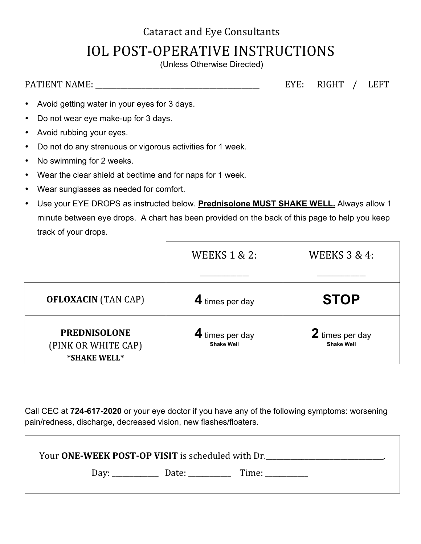## **Cataract and Eye Consultants IOL POST-OPERATIVE INSTRUCTIONS**

(Unless Otherwise Directed)

PATIENT NAME: \_\_\_\_\_\_\_\_\_\_\_\_\_\_\_\_\_\_\_\_\_\_\_\_\_\_\_\_\_\_\_\_\_\_\_\_\_\_\_\_\_\_\_\_\_\_ EYE: RIGHT / LEFT

- Avoid getting water in your eyes for 3 days.
- Do not wear eye make-up for 3 days.
- Avoid rubbing your eyes.
- Do not do any strenuous or vigorous activities for 1 week.
- No swimming for 2 weeks.
- Wear the clear shield at bedtime and for naps for 1 week.
- Wear sunglasses as needed for comfort.
- Use your EYE DROPS as instructed below. **Prednisolone MUST SHAKE WELL.** Always allow 1 minute between eye drops. A chart has been provided on the back of this page to help you keep track of your drops.

|                                                            | <b>WEEKS 1 &amp; 2:</b>              | <b>WEEKS 3 &amp; 4:</b>              |
|------------------------------------------------------------|--------------------------------------|--------------------------------------|
|                                                            |                                      |                                      |
| <b>OFLOXACIN</b> (TAN CAP)                                 | 4 times per day                      | <b>STOP</b>                          |
| <b>PREDNISOLONE</b><br>(PINK OR WHITE CAP)<br>*SHAKE WELL* | 4 times per day<br><b>Shake Well</b> | 2 times per day<br><b>Shake Well</b> |

Call CEC at **724-617-2020** or your eye doctor if you have any of the following symptoms: worsening pain/redness, discharge, decreased vision, new flashes/floaters.

| Your ONE-WEEK POST-OP VISIT is scheduled with Dr. |      |                   |       |  |  |
|---------------------------------------------------|------|-------------------|-------|--|--|
|                                                   | Day: | Date: ___________ | Time: |  |  |